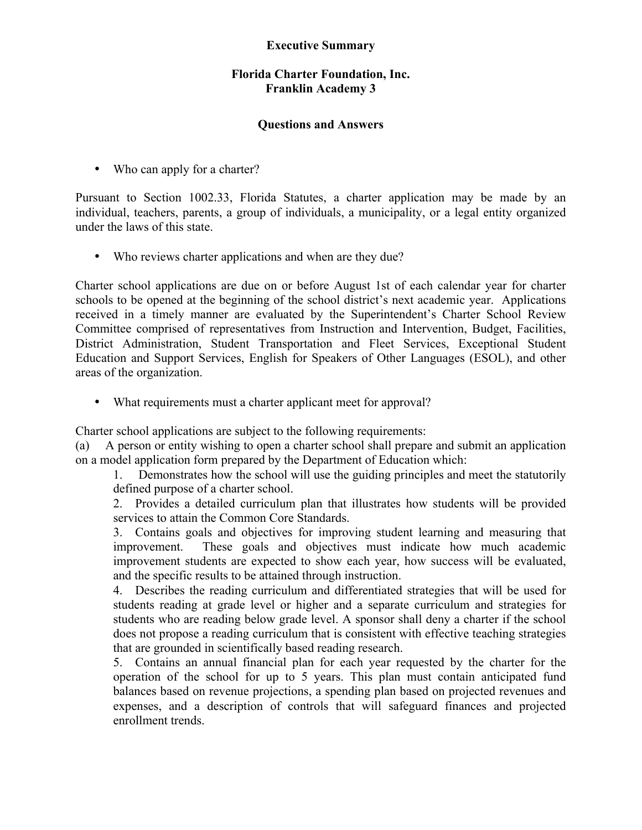## **Executive Summary**

## **Florida Charter Foundation, Inc. Franklin Academy 3**

## **Questions and Answers**

• Who can apply for a charter?

Pursuant to Section 1002.33, Florida Statutes, a charter application may be made by an individual, teachers, parents, a group of individuals, a municipality, or a legal entity organized under the laws of this state.

• Who reviews charter applications and when are they due?

Charter school applications are due on or before August 1st of each calendar year for charter schools to be opened at the beginning of the school district's next academic year. Applications received in a timely manner are evaluated by the Superintendent's Charter School Review Committee comprised of representatives from Instruction and Intervention, Budget, Facilities, District Administration, Student Transportation and Fleet Services, Exceptional Student Education and Support Services, English for Speakers of Other Languages (ESOL), and other areas of the organization.

• What requirements must a charter applicant meet for approval?

Charter school applications are subject to the following requirements:

(a) A person or entity wishing to open a charter school shall prepare and submit an application on a model application form prepared by the Department of Education which:

1. Demonstrates how the school will use the guiding principles and meet the statutorily defined purpose of a charter school.

2. Provides a detailed curriculum plan that illustrates how students will be provided services to attain the Common Core Standards.

3. Contains goals and objectives for improving student learning and measuring that improvement. These goals and objectives must indicate how much academic improvement students are expected to show each year, how success will be evaluated, and the specific results to be attained through instruction.

4. Describes the reading curriculum and differentiated strategies that will be used for students reading at grade level or higher and a separate curriculum and strategies for students who are reading below grade level. A sponsor shall deny a charter if the school does not propose a reading curriculum that is consistent with effective teaching strategies that are grounded in scientifically based reading research.

5. Contains an annual financial plan for each year requested by the charter for the operation of the school for up to 5 years. This plan must contain anticipated fund balances based on revenue projections, a spending plan based on projected revenues and expenses, and a description of controls that will safeguard finances and projected enrollment trends.